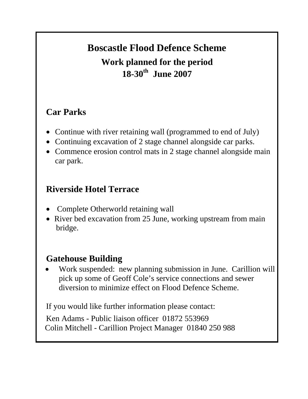# **Boscastle Flood Defence Scheme Work planned for the period 18-30th June 2007**

#### **Car Parks**

- Continue with river retaining wall (programmed to end of July)
- Continuing excavation of 2 stage channel alongside car parks.
- Commence erosion control mats in 2 stage channel alongside main car park.

#### **Riverside Hotel Terrace**

- Complete Otherworld retaining wall
- River bed excavation from 25 June, working upstream from main bridge.

#### **Gatehouse Building**

• Work suspended: new planning submission in June. Carillion will pick up some of Geoff Cole's service connections and sewer diversion to minimize effect on Flood Defence Scheme.

If you would like further information please contact:

Ken Adams - Public liaison officer 01872 553969 Colin Mitchell - Carillion Project Manager 01840 250 988